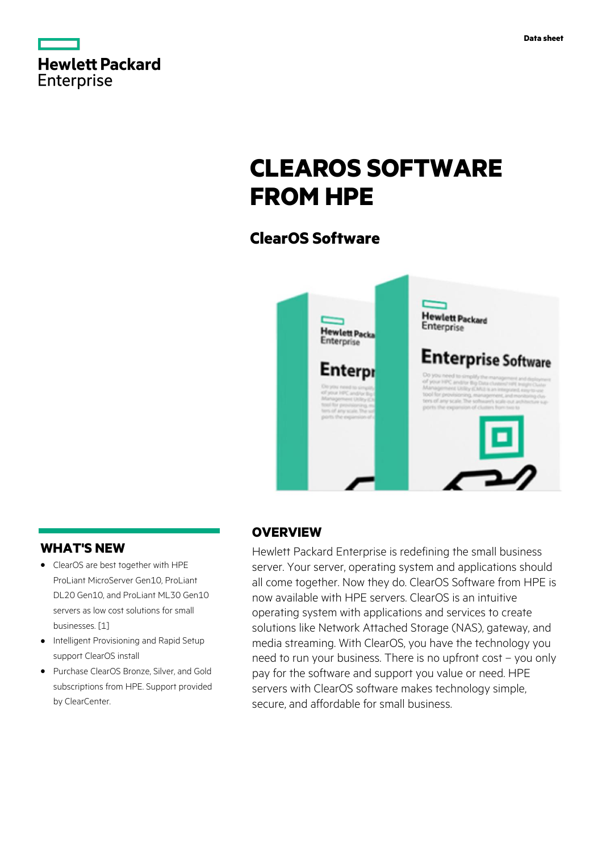|                   | <b>Hewlett Packard</b> |
|-------------------|------------------------|
| <b>Enterprise</b> |                        |

# **CLEAROS SOFTWARE FROM HPE**

# **ClearOS Software**



## **WHAT'S NEW**

- **·** ClearOS are best together with HPE ProLiant MicroServer Gen10, ProLiant DL20 Gen10, and ProLiant ML30 Gen10 servers as low cost solutions for small businesses. [1]
- **·** Intelligent Provisioning and Rapid Setup support ClearOS install
- **·** Purchase ClearOS Bronze, Silver, and Gold subscriptions from HPE. Support provided by ClearCenter.

## **OVERVIEW**

Hewlett Packard Enterprise is redefining the small business server. Your server, operating system and applications should all come together. Now they do. ClearOS Software from HPE is now available with HPE servers. ClearOS is an intuitive operating system with applications and services to create solutions like Network Attached Storage (NAS), gateway, and media streaming. With ClearOS, you have the technology you need to run your business. There is no upfront cost – you only pay for the software and support you value or need. HPE servers with ClearOS software makes technology simple, secure, and affordable for small business.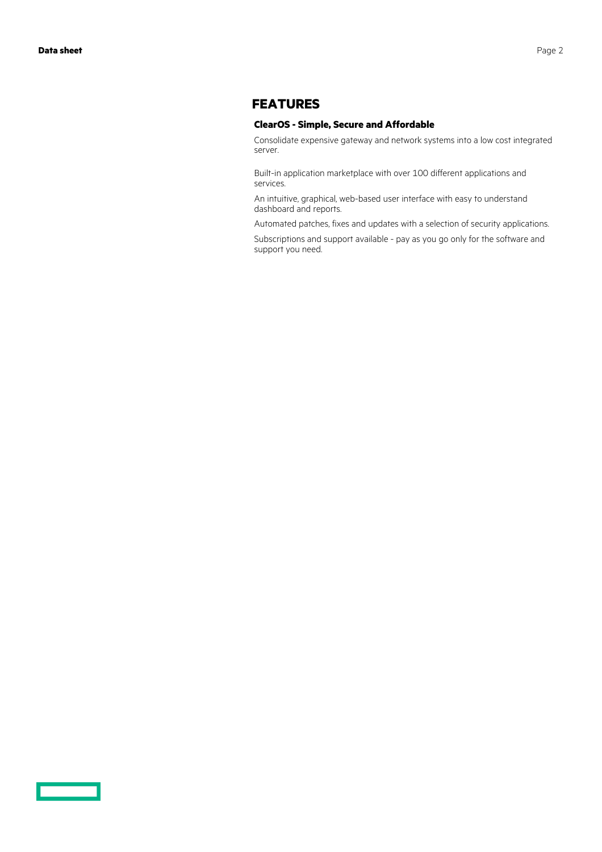### **FEATURES**

#### **ClearOS - Simple, Secure and Affordable**

Consolidate expensive gateway and network systems into a low cost integrated server.

Built-in application marketplace with over 100 different applications and services.

An intuitive, graphical, web-based user interface with easy to understand dashboard and reports.

Automated patches, fixes and updates with a selection of security applications.

Subscriptions and support available - pay as you go only for the software and support you need.